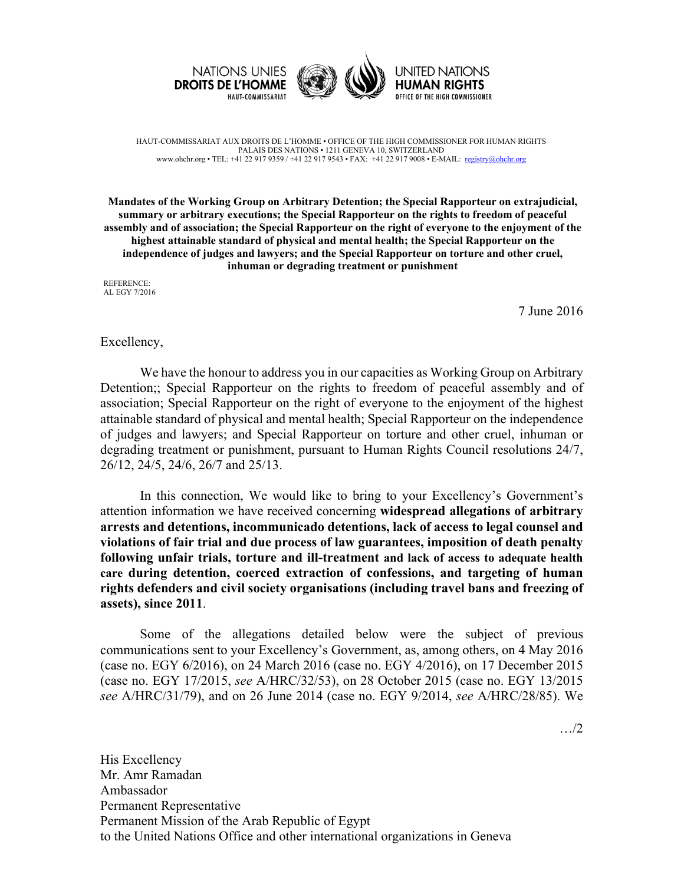





HAUT-COMMISSARIAT AUX DROITS DE L'HOMME • OFFICE OF THE HIGH COMMISSIONER FOR HUMAN RIGHTS PALAIS DES NATIONS • 1211 GENEVA 10, SWITZERLAND www.ohchr.org • TEL: +41 22 917 9359 / +41 22 917 9543 • FAX: +41 22 917 9008 • E-MAIL: registry@ohchr.org

**Mandates of the Working Group on Arbitrary Detention; the Special Rapporteur on extrajudicial, summary or arbitrary executions; the Special Rapporteur on the rights to freedom of peaceful assembly and of association; the Special Rapporteur on the right of everyone to the enjoyment of the highest attainable standard of physical and mental health; the Special Rapporteur on the independence of judges and lawyers; and the Special Rapporteur on torture and other cruel, inhuman or degrading treatment or punishment**

REFERENCE: AL EGY 7/2016

7 June 2016

## Excellency,

We have the honour to address you in our capacities as Working Group on Arbitrary Detention;; Special Rapporteur on the rights to freedom of peaceful assembly and of association; Special Rapporteur on the right of everyone to the enjoyment of the highest attainable standard of physical and mental health; Special Rapporteur on the independence of judges and lawyers; and Special Rapporteur on torture and other cruel, inhuman or degrading treatment or punishment, pursuant to Human Rights Council resolutions 24/7, 26/12, 24/5, 24/6, 26/7 and 25/13.

In this connection, We would like to bring to your Excellency's Government's attention information we have received concerning **widespread allegations of arbitrary arrests and detentions, incommunicado detentions, lack of access to legal counsel and violations of fair trial and due process of law guarantees, imposition of death penalty following unfair trials, torture and ill-treatment and lack of access to adequate health care during detention, coerced extraction of confessions, and targeting of human rights defenders and civil society organisations (including travel bans and freezing of assets), since 2011**.

Some of the allegations detailed below were the subject of previous communications sent to your Excellency's Government, as, among others, on 4 May 2016 (case no. EGY 6/2016), on 24 March 2016 (case no. EGY 4/2016), on 17 December 2015 (case no. EGY 17/2015, *see* A/HRC/32/53), on 28 October 2015 (case no. EGY 13/2015 *see* A/HRC/31/79), and on 26 June 2014 (case no. EGY 9/2014, *see* A/HRC/28/85). We

…/2

His Excellency Mr. Amr Ramadan Ambassador Permanent Representative Permanent Mission of the Arab Republic of Egypt to the United Nations Office and other international organizations in Geneva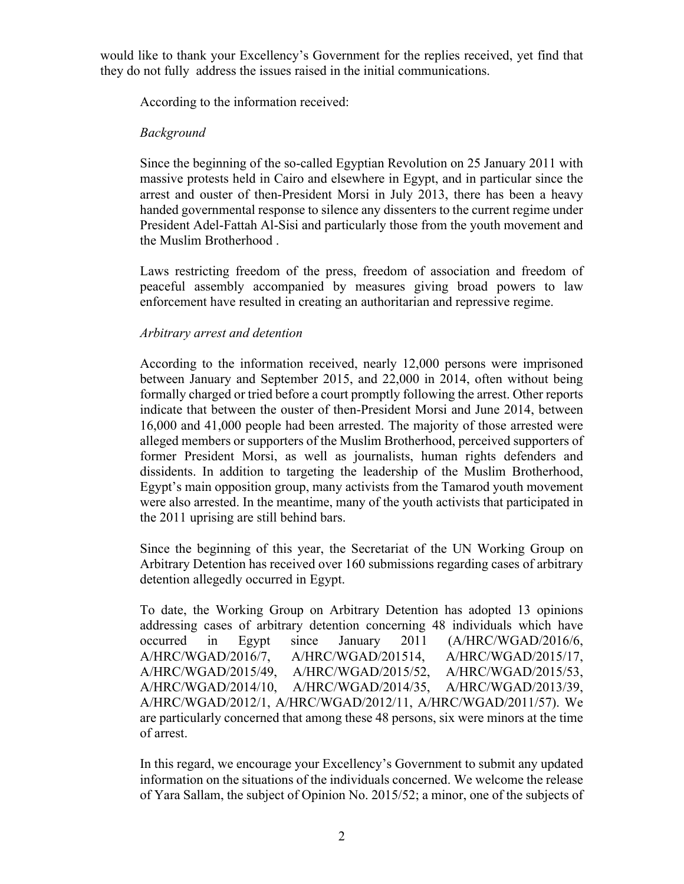would like to thank your Excellency's Government for the replies received, yet find that they do not fully address the issues raised in the initial communications.

According to the information received:

# *Background*

Since the beginning of the so-called Egyptian Revolution on 25 January 2011 with massive protests held in Cairo and elsewhere in Egypt, and in particular since the arrest and ouster of then-President Morsi in July 2013, there has been a heavy handed governmental response to silence any dissenters to the current regime under President Adel-Fattah Al-Sisi and particularly those from the youth movement and the Muslim Brotherhood .

Laws restricting freedom of the press, freedom of association and freedom of peaceful assembly accompanied by measures giving broad powers to law enforcement have resulted in creating an authoritarian and repressive regime.

# *Arbitrary arrest and detention*

According to the information received, nearly 12,000 persons were imprisoned between January and September 2015, and 22,000 in 2014, often without being formally charged or tried before a court promptly following the arrest. Other reports indicate that between the ouster of then-President Morsi and June 2014, between 16,000 and 41,000 people had been arrested. The majority of those arrested were alleged members or supporters of the Muslim Brotherhood, perceived supporters of former President Morsi, as well as journalists, human rights defenders and dissidents. In addition to targeting the leadership of the Muslim Brotherhood, Egypt's main opposition group, many activists from the Tamarod youth movement were also arrested. In the meantime, many of the youth activists that participated in the 2011 uprising are still behind bars.

Since the beginning of this year, the Secretariat of the UN Working Group on Arbitrary Detention has received over 160 submissions regarding cases of arbitrary detention allegedly occurred in Egypt.

To date, the Working Group on Arbitrary Detention has adopted 13 opinions addressing cases of arbitrary detention concerning 48 individuals which have occurred in Egypt since January 2011 (A/HRC/WGAD/2016/6, A/HRC/WGAD/2016/7, A/HRC/WGAD/201514, A/HRC/WGAD/2015/17, A/HRC/WGAD/2015/49, A/HRC/WGAD/2015/52, A/HRC/WGAD/2015/53, A/HRC/WGAD/2014/10, A/HRC/WGAD/2014/35, A/HRC/WGAD/2013/39, A/HRC/WGAD/2012/1, A/HRC/WGAD/2012/11, A/HRC/WGAD/2011/57). We are particularly concerned that among these 48 persons, six were minors at the time of arrest.

In this regard, we encourage your Excellency's Government to submit any updated information on the situations of the individuals concerned. We welcome the release of Yara Sallam, the subject of Opinion No. 2015/52; a minor, one of the subjects of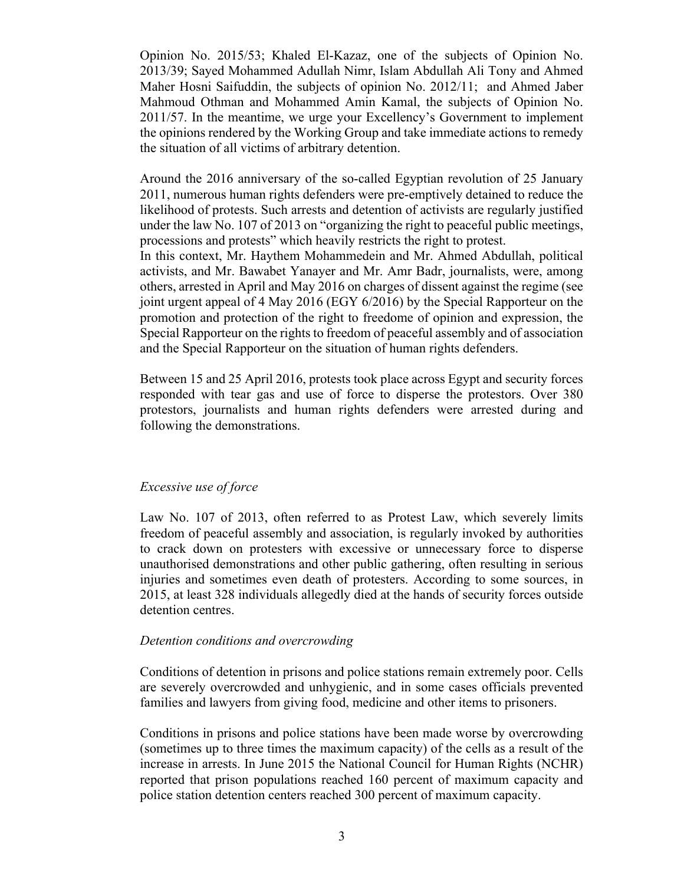Opinion No. 2015/53; Khaled El-Kazaz, one of the subjects of Opinion No. 2013/39; Sayed Mohammed Adullah Nimr, Islam Abdullah Ali Tony and Ahmed Maher Hosni Saifuddin, the subjects of opinion No. 2012/11; and Ahmed Jaber Mahmoud Othman and Mohammed Amin Kamal, the subjects of Opinion No. 2011/57. In the meantime, we urge your Excellency's Government to implement the opinions rendered by the Working Group and take immediate actions to remedy the situation of all victims of arbitrary detention.

Around the 2016 anniversary of the so-called Egyptian revolution of 25 January 2011, numerous human rights defenders were pre-emptively detained to reduce the likelihood of protests. Such arrests and detention of activists are regularly justified under the law No. 107 of 2013 on "organizing the right to peaceful public meetings, processions and protests" which heavily restricts the right to protest.

In this context, Mr. Haythem Mohammedein and Mr. Ahmed Abdullah, political activists, and Mr. Bawabet Yanayer and Mr. Amr Badr, journalists, were, among others, arrested in April and May 2016 on charges of dissent against the regime (see joint urgent appeal of 4 May 2016 (EGY 6/2016) by the Special Rapporteur on the promotion and protection of the right to freedome of opinion and expression, the Special Rapporteur on the rights to freedom of peaceful assembly and of association and the Special Rapporteur on the situation of human rights defenders.

Between 15 and 25 April 2016, protests took place across Egypt and security forces responded with tear gas and use of force to disperse the protestors. Over 380 protestors, journalists and human rights defenders were arrested during and following the demonstrations.

### *Excessive use of force*

Law No. 107 of 2013, often referred to as Protest Law, which severely limits freedom of peaceful assembly and association, is regularly invoked by authorities to crack down on protesters with excessive or unnecessary force to disperse unauthorised demonstrations and other public gathering, often resulting in serious injuries and sometimes even death of protesters. According to some sources, in 2015, at least 328 individuals allegedly died at the hands of security forces outside detention centres.

## *Detention conditions and overcrowding*

Conditions of detention in prisons and police stations remain extremely poor. Cells are severely overcrowded and unhygienic, and in some cases officials prevented families and lawyers from giving food, medicine and other items to prisoners.

Conditions in prisons and police stations have been made worse by overcrowding (sometimes up to three times the maximum capacity) of the cells as a result of the increase in arrests. In June 2015 the National Council for Human Rights (NCHR) reported that prison populations reached 160 percent of maximum capacity and police station detention centers reached 300 percent of maximum capacity.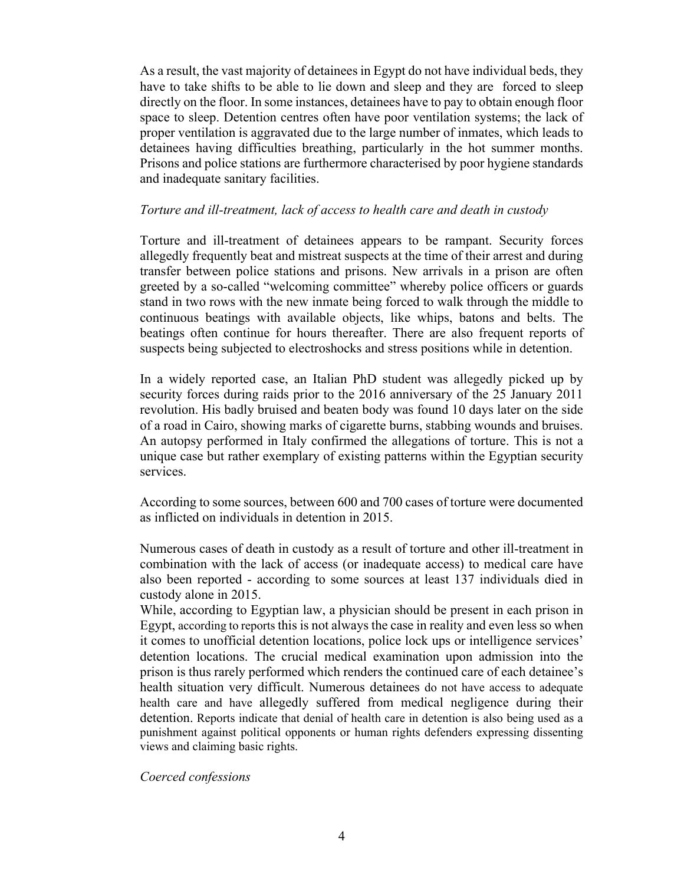As a result, the vast majority of detainees in Egypt do not have individual beds, they have to take shifts to be able to lie down and sleep and they are forced to sleep directly on the floor. In some instances, detainees have to pay to obtain enough floor space to sleep. Detention centres often have poor ventilation systems; the lack of proper ventilation is aggravated due to the large number of inmates, which leads to detainees having difficulties breathing, particularly in the hot summer months. Prisons and police stations are furthermore characterised by poor hygiene standards and inadequate sanitary facilities.

## *Torture and ill-treatment, lack of access to health care and death in custody*

Torture and ill-treatment of detainees appears to be rampant. Security forces allegedly frequently beat and mistreat suspects at the time of their arrest and during transfer between police stations and prisons. New arrivals in a prison are often greeted by a so-called "welcoming committee" whereby police officers or guards stand in two rows with the new inmate being forced to walk through the middle to continuous beatings with available objects, like whips, batons and belts. The beatings often continue for hours thereafter. There are also frequent reports of suspects being subjected to electroshocks and stress positions while in detention.

In a widely reported case, an Italian PhD student was allegedly picked up by security forces during raids prior to the 2016 anniversary of the 25 January 2011 revolution. His badly bruised and beaten body was found 10 days later on the side of a road in Cairo, showing marks of cigarette burns, stabbing wounds and bruises. An autopsy performed in Italy confirmed the allegations of torture. This is not a unique case but rather exemplary of existing patterns within the Egyptian security services.

According to some sources, between 600 and 700 cases of torture were documented as inflicted on individuals in detention in 2015.

Numerous cases of death in custody as a result of torture and other ill-treatment in combination with the lack of access (or inadequate access) to medical care have also been reported - according to some sources at least 137 individuals died in custody alone in 2015.

While, according to Egyptian law, a physician should be present in each prison in Egypt, according to reports this is not always the case in reality and even less so when it comes to unofficial detention locations, police lock ups or intelligence services' detention locations. The crucial medical examination upon admission into the prison is thus rarely performed which renders the continued care of each detainee's health situation very difficult. Numerous detainees do not have access to adequate health care and have allegedly suffered from medical negligence during their detention. Reports indicate that denial of health care in detention is also being used as a punishment against political opponents or human rights defenders expressing dissenting views and claiming basic rights.

### *Coerced confessions*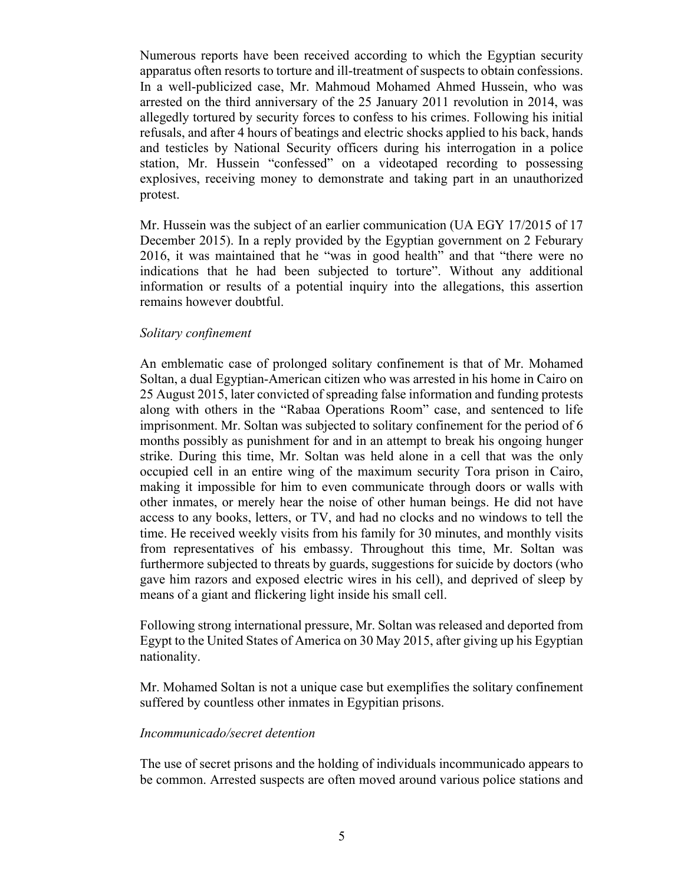Numerous reports have been received according to which the Egyptian security apparatus often resorts to torture and ill-treatment of suspects to obtain confessions. In a well-publicized case, Mr. Mahmoud Mohamed Ahmed Hussein, who was arrested on the third anniversary of the 25 January 2011 revolution in 2014, was allegedly tortured by security forces to confess to his crimes. Following his initial refusals, and after 4 hours of beatings and electric shocks applied to his back, hands and testicles by National Security officers during his interrogation in a police station, Mr. Hussein "confessed" on a videotaped recording to possessing explosives, receiving money to demonstrate and taking part in an unauthorized protest.

Mr. Hussein was the subject of an earlier communication (UA EGY 17/2015 of 17 December 2015). In a reply provided by the Egyptian government on 2 Feburary 2016, it was maintained that he "was in good health" and that "there were no indications that he had been subjected to torture". Without any additional information or results of a potential inquiry into the allegations, this assertion remains however doubtful.

### *Solitary confinement*

An emblematic case of prolonged solitary confinement is that of Mr. Mohamed Soltan, a dual Egyptian-American citizen who was arrested in his home in Cairo on 25 August 2015, later convicted of spreading false information and funding protests along with others in the "Rabaa Operations Room" case, and sentenced to life imprisonment. Mr. Soltan was subjected to solitary confinement for the period of 6 months possibly as punishment for and in an attempt to break his ongoing hunger strike. During this time, Mr. Soltan was held alone in a cell that was the only occupied cell in an entire wing of the maximum security Tora prison in Cairo, making it impossible for him to even communicate through doors or walls with other inmates, or merely hear the noise of other human beings. He did not have access to any books, letters, or TV, and had no clocks and no windows to tell the time. He received weekly visits from his family for 30 minutes, and monthly visits from representatives of his embassy. Throughout this time, Mr. Soltan was furthermore subjected to threats by guards, suggestions for suicide by doctors (who gave him razors and exposed electric wires in his cell), and deprived of sleep by means of a giant and flickering light inside his small cell.

Following strong international pressure, Mr. Soltan was released and deported from Egypt to the United States of America on 30 May 2015, after giving up his Egyptian nationality.

Mr. Mohamed Soltan is not a unique case but exemplifies the solitary confinement suffered by countless other inmates in Egypitian prisons.

#### *Incommunicado/secret detention*

The use of secret prisons and the holding of individuals incommunicado appears to be common. Arrested suspects are often moved around various police stations and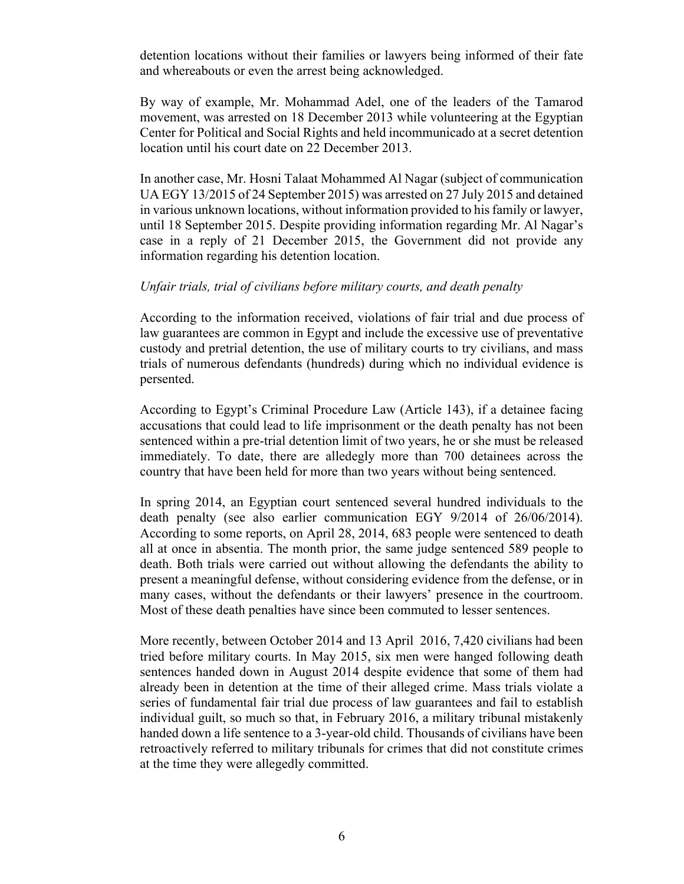detention locations without their families or lawyers being informed of their fate and whereabouts or even the arrest being acknowledged.

By way of example, Mr. Mohammad Adel, one of the leaders of the Tamarod movement, was arrested on 18 December 2013 while volunteering at the Egyptian Center for Political and Social Rights and held incommunicado at a secret detention location until his court date on 22 December 2013.

In another case, Mr. Hosni Talaat Mohammed Al Nagar (subject of communication UA EGY 13/2015 of 24 September 2015) was arrested on 27 July 2015 and detained in various unknown locations, without information provided to his family or lawyer, until 18 September 2015. Despite providing information regarding Mr. Al Nagar's case in a reply of 21 December 2015, the Government did not provide any information regarding his detention location.

## *Unfair trials, trial of civilians before military courts, and death penalty*

According to the information received, violations of fair trial and due process of law guarantees are common in Egypt and include the excessive use of preventative custody and pretrial detention, the use of military courts to try civilians, and mass trials of numerous defendants (hundreds) during which no individual evidence is persented.

According to Egypt's Criminal Procedure Law (Article 143), if a detainee facing accusations that could lead to life imprisonment or the death penalty has not been sentenced within a pre-trial detention limit of two years, he or she must be released immediately. To date, there are alledegly more than 700 detainees across the country that have been held for more than two years without being sentenced.

In spring 2014, an Egyptian court sentenced several hundred individuals to the death penalty (see also earlier communication EGY 9/2014 of 26/06/2014). According to some reports, on April 28, 2014, 683 people were sentenced to death all at once in absentia. The month prior, the same judge sentenced 589 people to death. Both trials were carried out without allowing the defendants the ability to present a meaningful defense, without considering evidence from the defense, or in many cases, without the defendants or their lawyers' presence in the courtroom. Most of these death penalties have since been commuted to lesser sentences.

More recently, between October 2014 and 13 April 2016, 7,420 civilians had been tried before military courts. In May 2015, six men were hanged following death sentences handed down in August 2014 despite evidence that some of them had already been in detention at the time of their alleged crime. Mass trials violate a series of fundamental fair trial due process of law guarantees and fail to establish individual guilt, so much so that, in February 2016, a military tribunal mistakenly handed down a life sentence to a 3-year-old child. Thousands of civilians have been retroactively referred to military tribunals for crimes that did not constitute crimes at the time they were allegedly committed.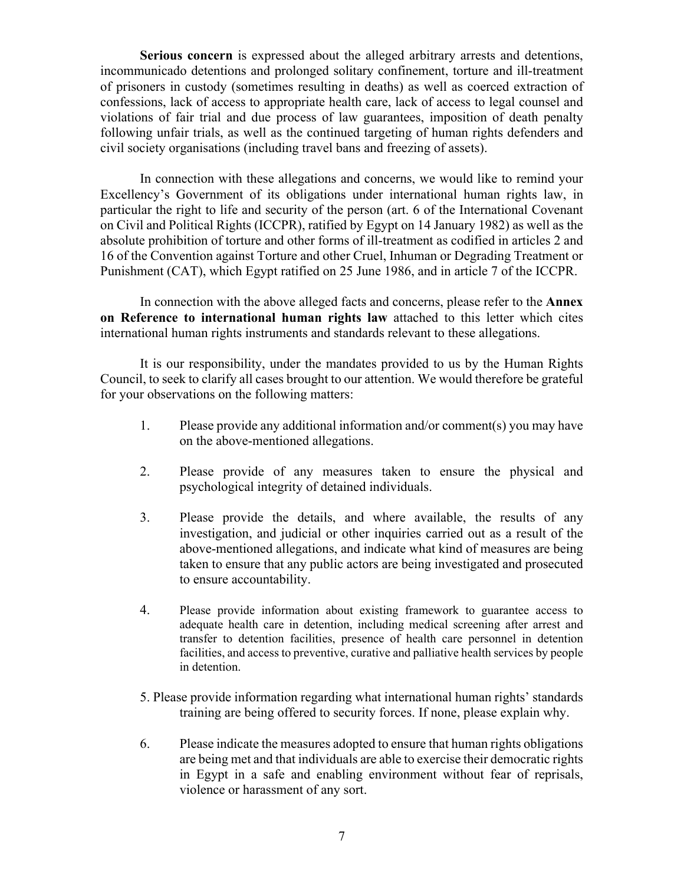**Serious concern** is expressed about the alleged arbitrary arrests and detentions, incommunicado detentions and prolonged solitary confinement, torture and ill-treatment of prisoners in custody (sometimes resulting in deaths) as well as coerced extraction of confessions, lack of access to appropriate health care, lack of access to legal counsel and violations of fair trial and due process of law guarantees, imposition of death penalty following unfair trials, as well as the continued targeting of human rights defenders and civil society organisations (including travel bans and freezing of assets).

In connection with these allegations and concerns, we would like to remind your Excellency's Government of its obligations under international human rights law, in particular the right to life and security of the person (art. 6 of the International Covenant on Civil and Political Rights (ICCPR), ratified by Egypt on 14 January 1982) as well as the absolute prohibition of torture and other forms of ill-treatment as codified in articles 2 and 16 of the Convention against Torture and other Cruel, Inhuman or Degrading Treatment or Punishment (CAT), which Egypt ratified on 25 June 1986, and in article 7 of the ICCPR.

In connection with the above alleged facts and concerns, please refer to the **Annex on Reference to international human rights law** attached to this letter which cites international human rights instruments and standards relevant to these allegations.

It is our responsibility, under the mandates provided to us by the Human Rights Council, to seek to clarify all cases brought to our attention. We would therefore be grateful for your observations on the following matters:

- 1. Please provide any additional information and/or comment(s) you may have on the above-mentioned allegations.
- 2. Please provide of any measures taken to ensure the physical and psychological integrity of detained individuals.
- 3. Please provide the details, and where available, the results of any investigation, and judicial or other inquiries carried out as a result of the above-mentioned allegations, and indicate what kind of measures are being taken to ensure that any public actors are being investigated and prosecuted to ensure accountability.
- 4. Please provide information about existing framework to guarantee access to adequate health care in detention, including medical screening after arrest and transfer to detention facilities, presence of health care personnel in detention facilities, and access to preventive, curative and palliative health services by people in detention.
- 5. Please provide information regarding what international human rights' standards training are being offered to security forces. If none, please explain why.
- 6. Please indicate the measures adopted to ensure that human rights obligations are being met and that individuals are able to exercise their democratic rights in Egypt in a safe and enabling environment without fear of reprisals, violence or harassment of any sort.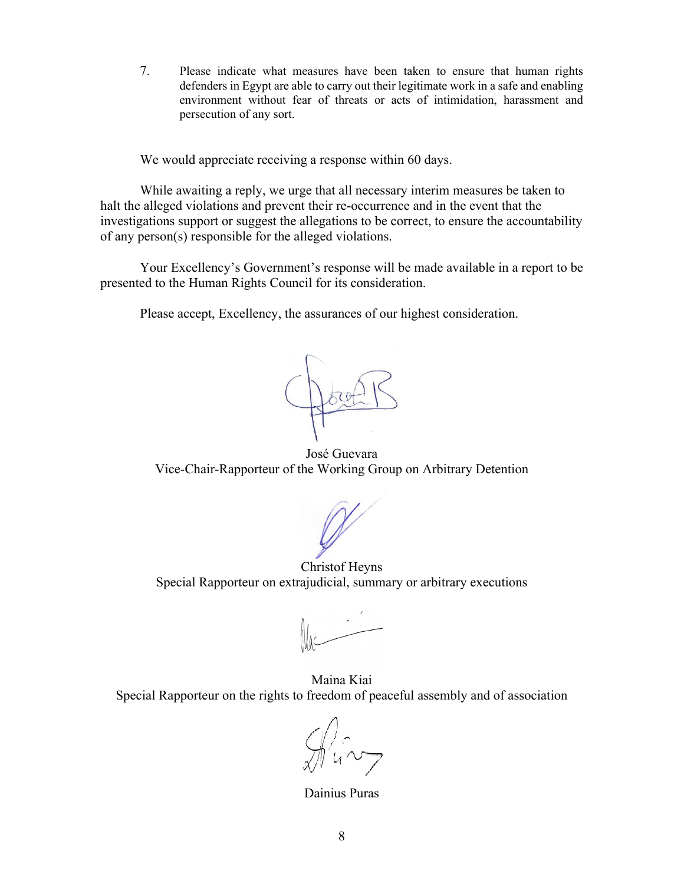7. Please indicate what measures have been taken to ensure that human rights defenders in Egypt are able to carry out their legitimate work in a safe and enabling environment without fear of threats or acts of intimidation, harassment and persecution of any sort.

We would appreciate receiving a response within 60 days.

While awaiting a reply, we urge that all necessary interim measures be taken to halt the alleged violations and prevent their re-occurrence and in the event that the investigations support or suggest the allegations to be correct, to ensure the accountability of any person(s) responsible for the alleged violations.

Your Excellency's Government's response will be made available in a report to be presented to the Human Rights Council for its consideration.

Please accept, Excellency, the assurances of our highest consideration.

Doce

José Guevara Vice-Chair-Rapporteur of the Working Group on Arbitrary Detention

Christof Heyns Special Rapporteur on extrajudicial, summary or arbitrary executions

Maina Kiai Special Rapporteur on the rights to freedom of peaceful assembly and of association

 $\mathcal{A}$ ing

Dainius Puras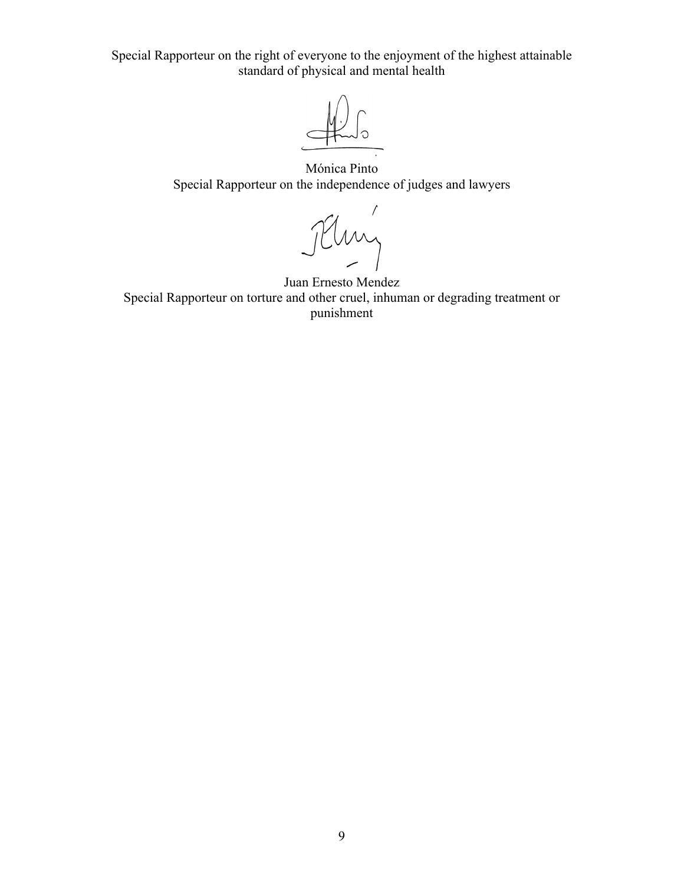Special Rapporteur on the right of everyone to the enjoyment of the highest attainable standard of physical and mental health

Mónica Pinto Special Rapporteur on the independence of judges and lawyers

Juan Ernesto Mendez

Special Rapporteur on torture and other cruel, inhuman or degrading treatment or punishment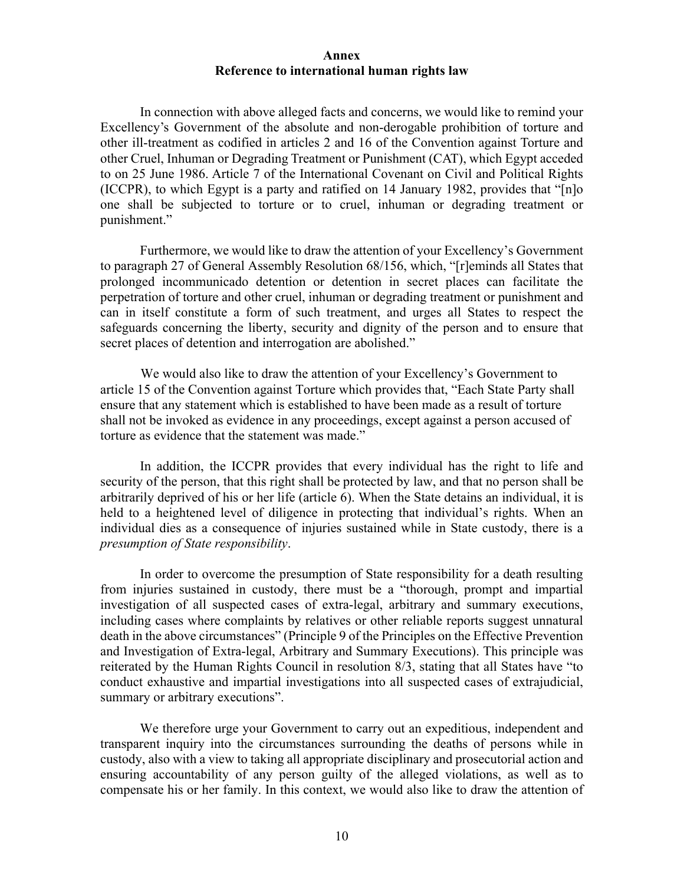#### **Annex Reference to international human rights law**

In connection with above alleged facts and concerns, we would like to remind your Excellency's Government of the absolute and non-derogable prohibition of torture and other ill-treatment as codified in articles 2 and 16 of the Convention against Torture and other Cruel, Inhuman or Degrading Treatment or Punishment (CAT), which Egypt acceded to on 25 June 1986. Article 7 of the International Covenant on Civil and Political Rights (ICCPR), to which Egypt is a party and ratified on 14 January 1982, provides that "[n]o one shall be subjected to torture or to cruel, inhuman or degrading treatment or punishment."

Furthermore, we would like to draw the attention of your Excellency's Government to paragraph 27 of General Assembly Resolution 68/156, which, "[r]eminds all States that prolonged incommunicado detention or detention in secret places can facilitate the perpetration of torture and other cruel, inhuman or degrading treatment or punishment and can in itself constitute a form of such treatment, and urges all States to respect the safeguards concerning the liberty, security and dignity of the person and to ensure that secret places of detention and interrogation are abolished."

 We would also like to draw the attention of your Excellency's Government to article 15 of the Convention against Torture which provides that, "Each State Party shall ensure that any statement which is established to have been made as a result of torture shall not be invoked as evidence in any proceedings, except against a person accused of torture as evidence that the statement was made."

In addition, the ICCPR provides that every individual has the right to life and security of the person, that this right shall be protected by law, and that no person shall be arbitrarily deprived of his or her life (article 6). When the State detains an individual, it is held to a heightened level of diligence in protecting that individual's rights. When an individual dies as a consequence of injuries sustained while in State custody, there is a *presumption of State responsibility*.

In order to overcome the presumption of State responsibility for a death resulting from injuries sustained in custody, there must be a "thorough, prompt and impartial investigation of all suspected cases of extra-legal, arbitrary and summary executions, including cases where complaints by relatives or other reliable reports suggest unnatural death in the above circumstances" (Principle 9 of the Principles on the Effective Prevention and Investigation of Extra-legal, Arbitrary and Summary Executions). This principle was reiterated by the Human Rights Council in resolution 8/3, stating that all States have "to conduct exhaustive and impartial investigations into all suspected cases of extrajudicial, summary or arbitrary executions".

We therefore urge your Government to carry out an expeditious, independent and transparent inquiry into the circumstances surrounding the deaths of persons while in custody, also with a view to taking all appropriate disciplinary and prosecutorial action and ensuring accountability of any person guilty of the alleged violations, as well as to compensate his or her family. In this context, we would also like to draw the attention of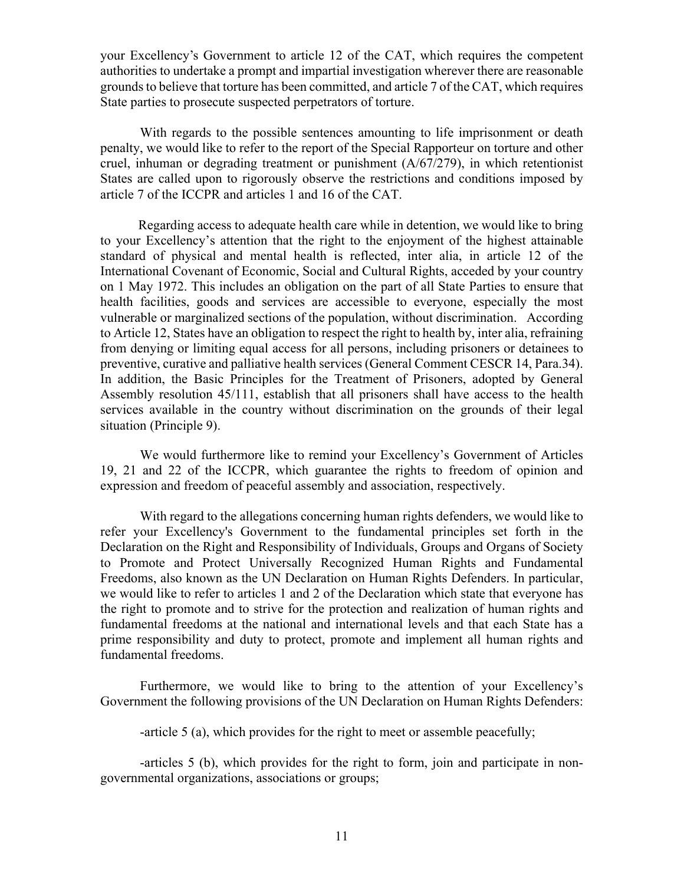your Excellency's Government to article 12 of the CAT, which requires the competent authorities to undertake a prompt and impartial investigation wherever there are reasonable grounds to believe that torture has been committed, and article 7 of the CAT, which requires State parties to prosecute suspected perpetrators of torture.

With regards to the possible sentences amounting to life imprisonment or death penalty, we would like to refer to the report of the Special Rapporteur on torture and other cruel, inhuman or degrading treatment or punishment (A/67/279), in which retentionist States are called upon to rigorously observe the restrictions and conditions imposed by article 7 of the ICCPR and articles 1 and 16 of the CAT.

Regarding access to adequate health care while in detention, we would like to bring to your Excellency's attention that the right to the enjoyment of the highest attainable standard of physical and mental health is reflected, inter alia, in article 12 of the International Covenant of Economic, Social and Cultural Rights, acceded by your country on 1 May 1972. This includes an obligation on the part of all State Parties to ensure that health facilities, goods and services are accessible to everyone, especially the most vulnerable or marginalized sections of the population, without discrimination. According to Article 12, States have an obligation to respect the right to health by, inter alia, refraining from denying or limiting equal access for all persons, including prisoners or detainees to preventive, curative and palliative health services (General Comment CESCR 14, Para.34). In addition, the Basic Principles for the Treatment of Prisoners, adopted by General Assembly resolution 45/111, establish that all prisoners shall have access to the health services available in the country without discrimination on the grounds of their legal situation (Principle 9).

We would furthermore like to remind your Excellency's Government of Articles 19, 21 and 22 of the ICCPR, which guarantee the rights to freedom of opinion and expression and freedom of peaceful assembly and association, respectively.

With regard to the allegations concerning human rights defenders, we would like to refer your Excellency's Government to the fundamental principles set forth in the Declaration on the Right and Responsibility of Individuals, Groups and Organs of Society to Promote and Protect Universally Recognized Human Rights and Fundamental Freedoms, also known as the UN Declaration on Human Rights Defenders. In particular, we would like to refer to articles 1 and 2 of the Declaration which state that everyone has the right to promote and to strive for the protection and realization of human rights and fundamental freedoms at the national and international levels and that each State has a prime responsibility and duty to protect, promote and implement all human rights and fundamental freedoms.

Furthermore, we would like to bring to the attention of your Excellency's Government the following provisions of the UN Declaration on Human Rights Defenders:

-article 5 (a), which provides for the right to meet or assemble peacefully;

-articles 5 (b), which provides for the right to form, join and participate in nongovernmental organizations, associations or groups;